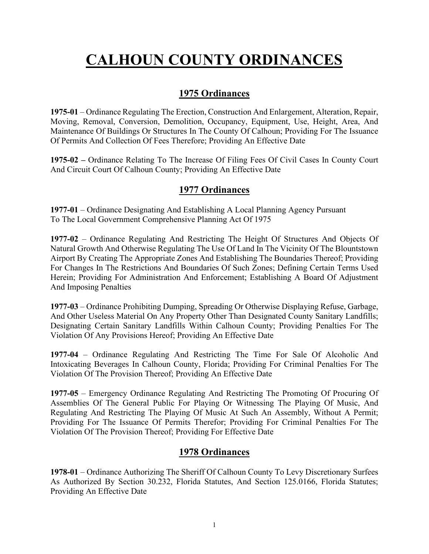# **CALHOUN COUNTY ORDINANCES**

# **1975 Ordinances**

**1975-01** – Ordinance Regulating The Erection, Construction And Enlargement, Alteration, Repair, Moving, Removal, Conversion, Demolition, Occupancy, Equipment, Use, Height, Area, And Maintenance Of Buildings Or Structures In The County Of Calhoun; Providing For The Issuance Of Permits And Collection Of Fees Therefore; Providing An Effective Date

**1975-02 –** Ordinance Relating To The Increase Of Filing Fees Of Civil Cases In County Court And Circuit Court Of Calhoun County; Providing An Effective Date

# **1977 Ordinances**

**1977-01** – Ordinance Designating And Establishing A Local Planning Agency Pursuant To The Local Government Comprehensive Planning Act Of 1975

**1977-02** – Ordinance Regulating And Restricting The Height Of Structures And Objects Of Natural Growth And Otherwise Regulating The Use Of Land In The Vicinity Of The Blountstown Airport By Creating The Appropriate Zones And Establishing The Boundaries Thereof; Providing For Changes In The Restrictions And Boundaries Of Such Zones; Defining Certain Terms Used Herein; Providing For Administration And Enforcement; Establishing A Board Of Adjustment And Imposing Penalties

**1977-03** – Ordinance Prohibiting Dumping, Spreading Or Otherwise Displaying Refuse, Garbage, And Other Useless Material On Any Property Other Than Designated County Sanitary Landfills; Designating Certain Sanitary Landfills Within Calhoun County; Providing Penalties For The Violation Of Any Provisions Hereof; Providing An Effective Date

**1977-04** – Ordinance Regulating And Restricting The Time For Sale Of Alcoholic And Intoxicating Beverages In Calhoun County, Florida; Providing For Criminal Penalties For The Violation Of The Provision Thereof; Providing An Effective Date

**1977-05** – Emergency Ordinance Regulating And Restricting The Promoting Of Procuring Of Assemblies Of The General Public For Playing Or Witnessing The Playing Of Music, And Regulating And Restricting The Playing Of Music At Such An Assembly, Without A Permit; Providing For The Issuance Of Permits Therefor; Providing For Criminal Penalties For The Violation Of The Provision Thereof; Providing For Effective Date

# **1978 Ordinances**

**1978-01** – Ordinance Authorizing The Sheriff Of Calhoun County To Levy Discretionary Surfees As Authorized By Section 30.232, Florida Statutes, And Section 125.0166, Florida Statutes; Providing An Effective Date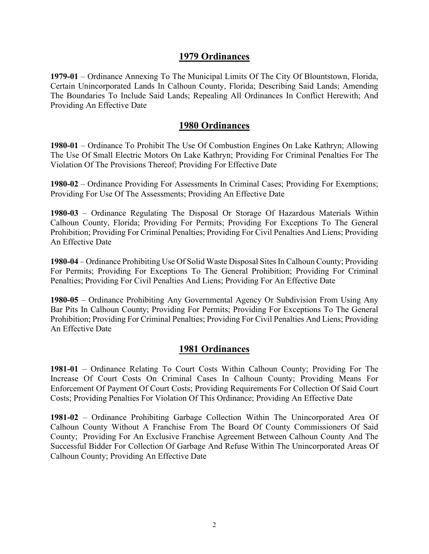**1979-01** – Ordinance Annexing To The Municipal Limits Of The City Of Blountstown, Florida, Certain Unincorporated Lands In Calhoun County, Florida; Describing Said Lands; Amending The Boundaries To Include Said Lands; Repealing All Ordinances In Conflict Herewith; And Providing An Effective Date

#### **1980 Ordinances**

**1980-01** – Ordinance To Prohibit The Use Of Combustion Engines On Lake Kathryn; Allowing The Use Of Small Electric Motors On Lake Kathryn; Providing For Criminal Penalties For The Violation Of The Provisions Thereof; Providing For Effective Date

**1980-02** – Ordinance Providing For Assessments In Criminal Cases; Providing For Exemptions; Providing For Use Of The Assessments; Providing An Effective Date

**1980-03** – Ordinance Regulating The Disposal Or Storage Of Hazardous Materials Within Calhoun County, Florida; Providing For Permits; Providing For Exceptions To The General Prohibition; Providing For Criminal Penalties; Providing For Civil Penalties And Liens; Providing An Effective Date

**1980-04** – Ordinance Prohibiting Use Of Solid Waste Disposal Sites In Calhoun County; Providing For Permits; Providing For Exceptions To The General Prohibition; Providing For Criminal Penalties; Providing For Civil Penalties And Liens; Providing For An Effective Date

**1980-05** – Ordinance Prohibiting Any Governmental Agency Or Subdivision From Using Any Bar Pits In Calhoun County; Providing For Permits; Providing For Exceptions To The General Prohibition; Providing For Criminal Penalties; Providing For Civil Penalties And Liens; Providing An Effective Date

# **1981 Ordinances**

**1981-01** – Ordinance Relating To Court Costs Within Calhoun County; Providing For The Increase Of Court Costs On Criminal Cases In Calhoun County; Providing Means For Enforcement Of Payment Of Court Costs; Providing Requirements For Collection Of Said Court Costs; Providing Penalties For Violation Of This Ordinance; Providing An Effective Date

**1981-02** – Ordinance Prohibiting Garbage Collection Within The Unincorporated Area Of Calhoun County Without A Franchise From The Board Of County Commissioners Of Said County; Providing For An Exclusive Franchise Agreement Between Calhoun County And The Successful Bidder For Collection Of Garbage And Refuse Within The Unincorporated Areas Of Calhoun County; Providing An Effective Date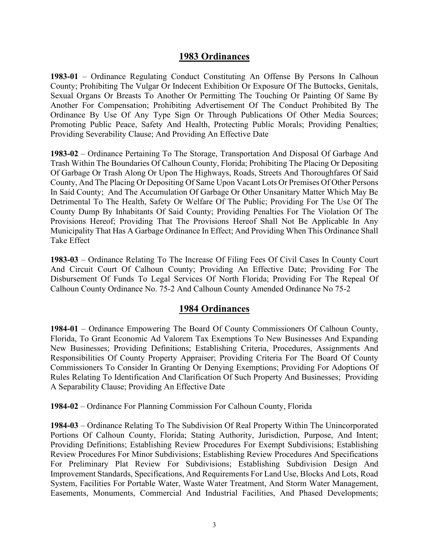**1983-01** – Ordinance Regulating Conduct Constituting An Offense By Persons In Calhoun County; Prohibiting The Vulgar Or Indecent Exhibition Or Exposure Of The Buttocks, Genitals, Sexual Organs Or Breasts To Another Or Permitting The Touching Or Painting Of Same By Another For Compensation; Prohibiting Advertisement Of The Conduct Prohibited By The Ordinance By Use Of Any Type Sign Or Through Publications Of Other Media Sources; Promoting Public Peace, Safety And Health, Protecting Public Morals; Providing Penalties; Providing Severability Clause; And Providing An Effective Date

**1983-02** – Ordinance Pertaining To The Storage, Transportation And Disposal Of Garbage And Trash Within The Boundaries Of Calhoun County, Florida; Prohibiting The Placing Or Depositing Of Garbage Or Trash Along Or Upon The Highways, Roads, Streets And Thoroughfares Of Said County, And The Placing Or Depositing Of Same Upon Vacant Lots Or Premises Of Other Persons In Said County; And The Accumulation Of Garbage Or Other Unsanitary Matter Which May Be Detrimental To The Health, Safety Or Welfare Of The Public; Providing For The Use Of The County Dump By Inhabitants Of Said County; Providing Penalties For The Violation Of The Provisions Hereof; Providing That The Provisions Hereof Shall Not Be Applicable In Any Municipality That Has A Garbage Ordinance In Effect; And Providing When This Ordinance Shall Take Effect

**1983-03** – Ordinance Relating To The Increase Of Filing Fees Of Civil Cases In County Court And Circuit Court Of Calhoun County; Providing An Effective Date; Providing For The Disbursement Of Funds To Legal Services Of North Florida; Providing For The Repeal Of Calhoun County Ordinance No. 75-2 And Calhoun County Amended Ordinance No 75-2

#### **1984 Ordinances**

**1984-01** – Ordinance Empowering The Board Of County Commissioners Of Calhoun County, Florida, To Grant Economic Ad Valorem Tax Exemptions To New Businesses And Expanding New Businesses; Providing Definitions; Establishing Criteria, Procedures, Assignments And Responsibilities Of County Property Appraiser; Providing Criteria For The Board Of County Commissioners To Consider In Granting Or Denying Exemptions; Providing For Adoptions Of Rules Relating To Identification And Clarification Of Such Property And Businesses; Providing A Separability Clause; Providing An Effective Date

**1984-02** – Ordinance For Planning Commission For Calhoun County, Florida

**1984-03** – Ordinance Relating To The Subdivision Of Real Property Within The Unincorporated Portions Of Calhoun County, Florida; Stating Authority, Jurisdiction, Purpose, And Intent; Providing Definitions; Establishing Review Procedures For Exempt Subdivisions; Establishing Review Procedures For Minor Subdivisions; Establishing Review Procedures And Specifications For Preliminary Plat Review For Subdivisions; Establishing Subdivision Design And Improvement Standards, Specifications, And Requirements For Land Use, Blocks And Lots, Road System, Facilities For Portable Water, Waste Water Treatment, And Storm Water Management, Easements, Monuments, Commercial And Industrial Facilities, And Phased Developments;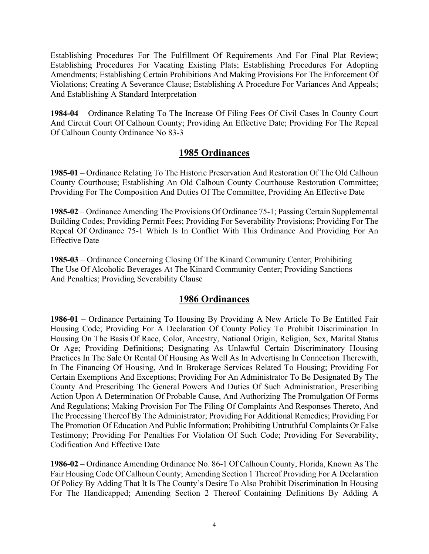Establishing Procedures For The Fulfillment Of Requirements And For Final Plat Review; Establishing Procedures For Vacating Existing Plats; Establishing Procedures For Adopting Amendments; Establishing Certain Prohibitions And Making Provisions For The Enforcement Of Violations; Creating A Severance Clause; Establishing A Procedure For Variances And Appeals; And Establishing A Standard Interpretation

**1984-04** – Ordinance Relating To The Increase Of Filing Fees Of Civil Cases In County Court And Circuit Court Of Calhoun County; Providing An Effective Date; Providing For The Repeal Of Calhoun County Ordinance No 83-3

# **1985 Ordinances**

**1985-01** – Ordinance Relating To The Historic Preservation And Restoration Of The Old Calhoun County Courthouse; Establishing An Old Calhoun County Courthouse Restoration Committee; Providing For The Composition And Duties Of The Committee, Providing An Effective Date

**1985-02** – Ordinance Amending The Provisions Of Ordinance 75-1; Passing Certain Supplemental Building Codes; Providing Permit Fees; Providing For Severability Provisions; Providing For The Repeal Of Ordinance 75-1 Which Is In Conflict With This Ordinance And Providing For An Effective Date

**1985-03** – Ordinance Concerning Closing Of The Kinard Community Center; Prohibiting The Use Of Alcoholic Beverages At The Kinard Community Center; Providing Sanctions And Penalties; Providing Severability Clause

# **1986 Ordinances**

**1986-01** – Ordinance Pertaining To Housing By Providing A New Article To Be Entitled Fair Housing Code; Providing For A Declaration Of County Policy To Prohibit Discrimination In Housing On The Basis Of Race, Color, Ancestry, National Origin, Religion, Sex, Marital Status Or Age; Providing Definitions; Designating As Unlawful Certain Discriminatory Housing Practices In The Sale Or Rental Of Housing As Well As In Advertising In Connection Therewith, In The Financing Of Housing, And In Brokerage Services Related To Housing; Providing For Certain Exemptions And Exceptions; Providing For An Administrator To Be Designated By The County And Prescribing The General Powers And Duties Of Such Administration, Prescribing Action Upon A Determination Of Probable Cause, And Authorizing The Promulgation Of Forms And Regulations; Making Provision For The Filing Of Complaints And Responses Thereto, And The Processing Thereof By The Administrator; Providing For Additional Remedies; Providing For The Promotion Of Education And Public Information; Prohibiting Untruthful Complaints Or False Testimony; Providing For Penalties For Violation Of Such Code; Providing For Severability, Codification And Effective Date

**1986-02** – Ordinance Amending Ordinance No. 86-1 Of Calhoun County, Florida, Known As The Fair Housing Code Of Calhoun County; Amending Section 1 Thereof Providing For A Declaration Of Policy By Adding That It Is The County's Desire To Also Prohibit Discrimination In Housing For The Handicapped; Amending Section 2 Thereof Containing Definitions By Adding A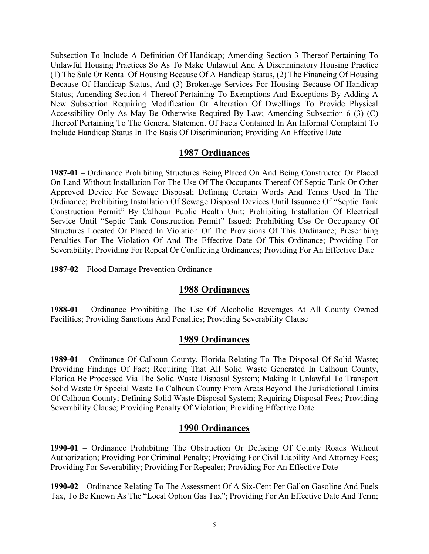Subsection To Include A Definition Of Handicap; Amending Section 3 Thereof Pertaining To Unlawful Housing Practices So As To Make Unlawful And A Discriminatory Housing Practice (1) The Sale Or Rental Of Housing Because Of A Handicap Status, (2) The Financing Of Housing Because Of Handicap Status, And (3) Brokerage Services For Housing Because Of Handicap Status; Amending Section 4 Thereof Pertaining To Exemptions And Exceptions By Adding A New Subsection Requiring Modification Or Alteration Of Dwellings To Provide Physical Accessibility Only As May Be Otherwise Required By Law; Amending Subsection 6 (3) (C) Thereof Pertaining To The General Statement Of Facts Contained In An Informal Complaint To Include Handicap Status In The Basis Of Discrimination; Providing An Effective Date

## **1987 Ordinances**

**1987-01** – Ordinance Prohibiting Structures Being Placed On And Being Constructed Or Placed On Land Without Installation For The Use Of The Occupants Thereof Of Septic Tank Or Other Approved Device For Sewage Disposal; Defining Certain Words And Terms Used In The Ordinance; Prohibiting Installation Of Sewage Disposal Devices Until Issuance Of "Septic Tank Construction Permit" By Calhoun Public Health Unit; Prohibiting Installation Of Electrical Service Until "Septic Tank Construction Permit" Issued; Prohibiting Use Or Occupancy Of Structures Located Or Placed In Violation Of The Provisions Of This Ordinance; Prescribing Penalties For The Violation Of And The Effective Date Of This Ordinance; Providing For Severability; Providing For Repeal Or Conflicting Ordinances; Providing For An Effective Date

**1987-02** – Flood Damage Prevention Ordinance

# **1988 Ordinances**

**1988-01** – Ordinance Prohibiting The Use Of Alcoholic Beverages At All County Owned Facilities; Providing Sanctions And Penalties; Providing Severability Clause

#### **1989 Ordinances**

**1989-01** – Ordinance Of Calhoun County, Florida Relating To The Disposal Of Solid Waste; Providing Findings Of Fact; Requiring That All Solid Waste Generated In Calhoun County, Florida Be Processed Via The Solid Waste Disposal System; Making It Unlawful To Transport Solid Waste Or Special Waste To Calhoun County From Areas Beyond The Jurisdictional Limits Of Calhoun County; Defining Solid Waste Disposal System; Requiring Disposal Fees; Providing Severability Clause; Providing Penalty Of Violation; Providing Effective Date

#### **1990 Ordinances**

**1990-01** – Ordinance Prohibiting The Obstruction Or Defacing Of County Roads Without Authorization; Providing For Criminal Penalty; Providing For Civil Liability And Attorney Fees; Providing For Severability; Providing For Repealer; Providing For An Effective Date

**1990-02** – Ordinance Relating To The Assessment Of A Six-Cent Per Gallon Gasoline And Fuels Tax, To Be Known As The "Local Option Gas Tax"; Providing For An Effective Date And Term;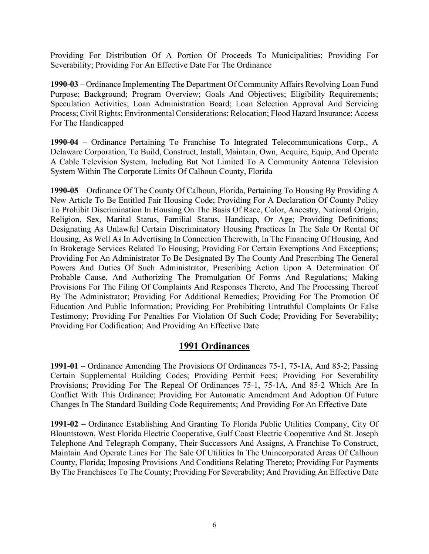Providing For Distribution Of A Portion Of Proceeds To Municipalities; Providing For Severability; Providing For An Effective Date For The Ordinance

**1990-03** – Ordinance Implementing The Department Of Community Affairs Revolving Loan Fund Purpose; Background; Program Overview; Goals And Objectives; Eligibility Requirements; Speculation Activities; Loan Administration Board; Loan Selection Approval And Servicing Process; Civil Rights; Environmental Considerations; Relocation; Flood Hazard Insurance; Access For The Handicapped

**1990-04** – Ordinance Pertaining To Franchise To Integrated Telecommunications Corp., A Delaware Corporation, To Build, Construct, Install, Maintain, Own, Acquire, Equip, And Operate A Cable Television System, Including But Not Limited To A Community Antenna Television System Within The Corporate Limits Of Calhoun County, Florida

**1990-05** – Ordinance Of The County Of Calhoun, Florida, Pertaining To Housing By Providing A New Article To Be Entitled Fair Housing Code; Providing For A Declaration Of County Policy To Prohibit Discrimination In Housing On The Basis Of Race, Color, Ancestry, National Origin, Religion, Sex, Marital Status, Familial Status, Handicap, Or Age; Providing Definitions; Designating As Unlawful Certain Discriminatory Housing Practices In The Sale Or Rental Of Housing, As Well As In Advertising In Connection Therewith, In The Financing Of Housing, And In Brokerage Services Related To Housing; Providing For Certain Exemptions And Exceptions; Providing For An Administrator To Be Designated By The County And Prescribing The General Powers And Duties Of Such Administrator, Prescribing Action Upon A Determination Of Probable Cause, And Authorizing The Promulgation Of Forms And Regulations; Making Provisions For The Filing Of Complaints And Responses Thereto, And The Processing Thereof By The Administrator; Providing For Additional Remedies; Providing For The Promotion Of Education And Public Information; Providing For Prohibiting Untruthful Complaints Or False Testimony; Providing For Penalties For Violation Of Such Code; Providing For Severability; Providing For Codification; And Providing An Effective Date

# **1991 Ordinances**

**1991-01** – Ordinance Amending The Provisions Of Ordinances 75-1, 75-1A, And 85-2; Passing Certain Supplemental Building Codes; Providing Permit Fees; Providing For Severability Provisions; Providing For The Repeal Of Ordinances 75-1, 75-1A, And 85-2 Which Are In Conflict With This Ordinance; Providing For Automatic Amendment And Adoption Of Future Changes In The Standard Building Code Requirements; And Providing For An Effective Date

**1991-02** – Ordinance Establishing And Granting To Florida Public Utilities Company, City Of Blountstown, West Florida Electric Cooperative, Gulf Coast Electric Cooperative And St. Joseph Telephone And Telegraph Company, Their Successors And Assigns, A Franchise To Construct, Maintain And Operate Lines For The Sale Of Utilities In The Unincorporated Areas Of Calhoun County, Florida; Imposing Provisions And Conditions Relating Thereto; Providing For Payments By The Franchisees To The County; Providing For Severability; And Providing An Effective Date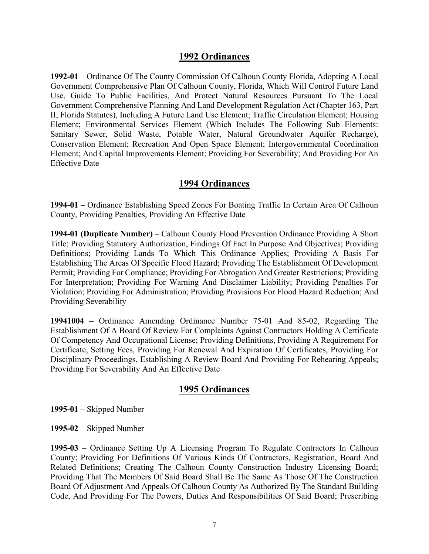**1992-01** – Ordinance Of The County Commission Of Calhoun County Florida, Adopting A Local Government Comprehensive Plan Of Calhoun County, Florida, Which Will Control Future Land Use, Guide To Public Facilities, And Protect Natural Resources Pursuant To The Local Government Comprehensive Planning And Land Development Regulation Act (Chapter 163, Part II, Florida Statutes), Including A Future Land Use Element; Traffic Circulation Element; Housing Element; Environmental Services Element (Which Includes The Following Sub Elements: Sanitary Sewer, Solid Waste, Potable Water, Natural Groundwater Aquifer Recharge), Conservation Element; Recreation And Open Space Element; Intergovernmental Coordination Element; And Capital Improvements Element; Providing For Severability; And Providing For An Effective Date

## **1994 Ordinances**

**1994-01** – Ordinance Establishing Speed Zones For Boating Traffic In Certain Area Of Calhoun County, Providing Penalties, Providing An Effective Date

**1994-01 (Duplicate Number)** – Calhoun County Flood Prevention Ordinance Providing A Short Title; Providing Statutory Authorization, Findings Of Fact In Purpose And Objectives; Providing Definitions; Providing Lands To Which This Ordinance Applies; Providing A Basis For Establishing The Areas Of Specific Flood Hazard; Providing The Establishment Of Development Permit; Providing For Compliance; Providing For Abrogation And Greater Restrictions; Providing For Interpretation; Providing For Warning And Disclaimer Liability; Providing Penalties For Violation; Providing For Administration; Providing Provisions For Flood Hazard Reduction; And Providing Severability

**19941004** – Ordinance Amending Ordinance Number 75-01 And 85-02, Regarding The Establishment Of A Board Of Review For Complaints Against Contractors Holding A Certificate Of Competency And Occupational License; Providing Definitions, Providing A Requirement For Certificate, Setting Fees, Providing For Renewal And Expiration Of Certificates, Providing For Disciplinary Proceedings, Establishing A Review Board And Providing For Rehearing Appeals; Providing For Severability And An Effective Date

# **1995 Ordinances**

**1995-01** – Skipped Number

**1995-02** – Skipped Number

**1995-03** – Ordinance Setting Up A Licensing Program To Regulate Contractors In Calhoun County; Providing For Definitions Of Various Kinds Of Contractors, Registration, Board And Related Definitions; Creating The Calhoun County Construction Industry Licensing Board; Providing That The Members Of Said Board Shall Be The Same As Those Of The Construction Board Of Adjustment And Appeals Of Calhoun County As Authorized By The Standard Building Code, And Providing For The Powers, Duties And Responsibilities Of Said Board; Prescribing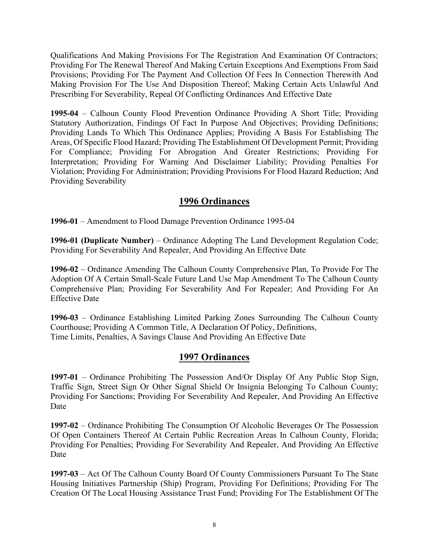Qualifications And Making Provisions For The Registration And Examination Of Contractors; Providing For The Renewal Thereof And Making Certain Exceptions And Exemptions From Said Provisions; Providing For The Payment And Collection Of Fees In Connection Therewith And Making Provision For The Use And Disposition Thereof; Making Certain Acts Unlawful And Prescribing For Severability, Repeal Of Conflicting Ordinances And Effective Date

**1995-04** – Calhoun County Flood Prevention Ordinance Providing A Short Title; Providing Statutory Authorization, Findings Of Fact In Purpose And Objectives; Providing Definitions; Providing Lands To Which This Ordinance Applies; Providing A Basis For Establishing The Areas, Of Specific Flood Hazard; Providing The Establishment Of Development Permit; Providing For Compliance; Providing For Abrogation And Greater Restrictions; Providing For Interpretation; Providing For Warning And Disclaimer Liability; Providing Penalties For Violation; Providing For Administration; Providing Provisions For Flood Hazard Reduction; And Providing Severability

# **1996 Ordinances**

**1996-01** – Amendment to Flood Damage Prevention Ordinance 1995-04

**1996-01 (Duplicate Number)** – Ordinance Adopting The Land Development Regulation Code; Providing For Severability And Repealer, And Providing An Effective Date

**1996-02** – Ordinance Amending The Calhoun County Comprehensive Plan, To Provide For The Adoption Of A Certain Small-Scale Future Land Use Map Amendment To The Calhoun County Comprehensive Plan; Providing For Severability And For Repealer; And Providing For An Effective Date

**1996-03** – Ordinance Establishing Limited Parking Zones Surrounding The Calhoun County Courthouse; Providing A Common Title, A Declaration Of Policy, Definitions, Time Limits, Penalties, A Savings Clause And Providing An Effective Date

# **1997 Ordinances**

**1997-01** – Ordinance Prohibiting The Possession And/Or Display Of Any Public Stop Sign, Traffic Sign, Street Sign Or Other Signal Shield Or Insignia Belonging To Calhoun County; Providing For Sanctions; Providing For Severability And Repealer, And Providing An Effective Date

**1997-02** – Ordinance Prohibiting The Consumption Of Alcoholic Beverages Or The Possession Of Open Containers Thereof At Certain Public Recreation Areas In Calhoun County, Florida; Providing For Penalties; Providing For Severability And Repealer, And Providing An Effective Date

**1997-03** – Act Of The Calhoun County Board Of County Commissioners Pursuant To The State Housing Initiatives Partnership (Ship) Program, Providing For Definitions; Providing For The Creation Of The Local Housing Assistance Trust Fund; Providing For The Establishment Of The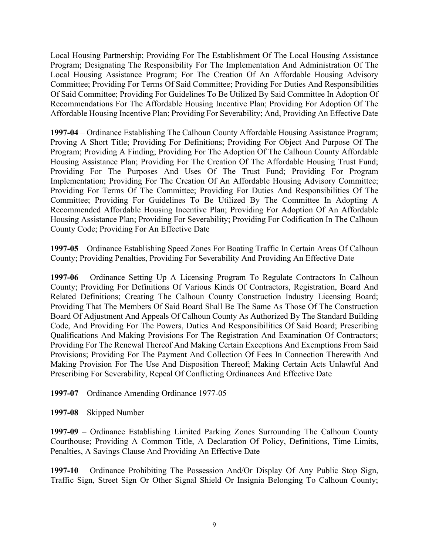Local Housing Partnership; Providing For The Establishment Of The Local Housing Assistance Program; Designating The Responsibility For The Implementation And Administration Of The Local Housing Assistance Program; For The Creation Of An Affordable Housing Advisory Committee; Providing For Terms Of Said Committee; Providing For Duties And Responsibilities Of Said Committee; Providing For Guidelines To Be Utilized By Said Committee In Adoption Of Recommendations For The Affordable Housing Incentive Plan; Providing For Adoption Of The Affordable Housing Incentive Plan; Providing For Severability; And, Providing An Effective Date

**1997-04** – Ordinance Establishing The Calhoun County Affordable Housing Assistance Program; Proving A Short Title; Providing For Definitions; Providing For Object And Purpose Of The Program; Providing A Finding; Providing For The Adoption Of The Calhoun County Affordable Housing Assistance Plan; Providing For The Creation Of The Affordable Housing Trust Fund; Providing For The Purposes And Uses Of The Trust Fund; Providing For Program Implementation; Providing For The Creation Of An Affordable Housing Advisory Committee; Providing For Terms Of The Committee; Providing For Duties And Responsibilities Of The Committee; Providing For Guidelines To Be Utilized By The Committee In Adopting A Recommended Affordable Housing Incentive Plan; Providing For Adoption Of An Affordable Housing Assistance Plan; Providing For Severability; Providing For Codification In The Calhoun County Code; Providing For An Effective Date

**1997-05** – Ordinance Establishing Speed Zones For Boating Traffic In Certain Areas Of Calhoun County; Providing Penalties, Providing For Severability And Providing An Effective Date

**1997-06** – Ordinance Setting Up A Licensing Program To Regulate Contractors In Calhoun County; Providing For Definitions Of Various Kinds Of Contractors, Registration, Board And Related Definitions; Creating The Calhoun County Construction Industry Licensing Board; Providing That The Members Of Said Board Shall Be The Same As Those Of The Construction Board Of Adjustment And Appeals Of Calhoun County As Authorized By The Standard Building Code, And Providing For The Powers, Duties And Responsibilities Of Said Board; Prescribing Qualifications And Making Provisions For The Registration And Examination Of Contractors; Providing For The Renewal Thereof And Making Certain Exceptions And Exemptions From Said Provisions; Providing For The Payment And Collection Of Fees In Connection Therewith And Making Provision For The Use And Disposition Thereof; Making Certain Acts Unlawful And Prescribing For Severability, Repeal Of Conflicting Ordinances And Effective Date

**1997-07** – Ordinance Amending Ordinance 1977-05

**1997-08** – Skipped Number

**1997-09** – Ordinance Establishing Limited Parking Zones Surrounding The Calhoun County Courthouse; Providing A Common Title, A Declaration Of Policy, Definitions, Time Limits, Penalties, A Savings Clause And Providing An Effective Date

**1997-10** – Ordinance Prohibiting The Possession And/Or Display Of Any Public Stop Sign, Traffic Sign, Street Sign Or Other Signal Shield Or Insignia Belonging To Calhoun County;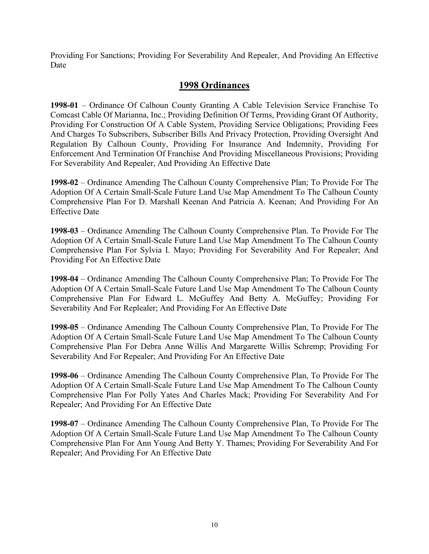Providing For Sanctions; Providing For Severability And Repealer, And Providing An Effective Date

# **1998 Ordinances**

**1998-01** – Ordinance Of Calhoun County Granting A Cable Television Service Franchise To Comcast Cable Of Marianna, Inc.; Providing Definition Of Terms, Providing Grant Of Authority, Providing For Construction Of A Cable System, Providing Service Obligations; Providing Fees And Charges To Subscribers, Subscriber Bills And Privacy Protection, Providing Oversight And Regulation By Calhoun County, Providing For Insurance And Indemnity, Providing For Enforcement And Termination Of Franchise And Providing Miscellaneous Provisions; Providing For Severability And Repealer, And Providing An Effective Date

**1998-02** – Ordinance Amending The Calhoun County Comprehensive Plan; To Provide For The Adoption Of A Certain Small-Scale Future Land Use Map Amendment To The Calhoun County Comprehensive Plan For D. Marshall Keenan And Patricia A. Keenan; And Providing For An Effective Date

**1998-03** – Ordinance Amending The Calhoun County Comprehensive Plan. To Provide For The Adoption Of A Certain Small-Scale Future Land Use Map Amendment To The Calhoun County Comprehensive Plan For Sylvia I. Mayo; Providing For Severability And For Repealer; And Providing For An Effective Date

**1998-04** – Ordinance Amending The Calhoun County Comprehensive Plan; To Provide For The Adoption Of A Certain Small-Scale Future Land Use Map Amendment To The Calhoun County Comprehensive Plan For Edward L. McGuffey And Betty A. McGuffey; Providing For Severability And For Replealer; And Providing For An Effective Date

**1998-05** – Ordinance Amending The Calhoun County Comprehensive Plan, To Provide For The Adoption Of A Certain Small-Scale Future Land Use Map Amendment To The Calhoun County Comprehensive Plan For Debra Anne Willis And Margarette Willis Schremp; Providing For Severability And For Repealer; And Providing For An Effective Date

**1998-06** – Ordinance Amending The Calhoun County Comprehensive Plan, To Provide For The Adoption Of A Certain Small-Scale Future Land Use Map Amendment To The Calhoun County Comprehensive Plan For Polly Yates And Charles Mack; Providing For Severability And For Repealer; And Providing For An Effective Date

**1998-07** – Ordinance Amending The Calhoun County Comprehensive Plan, To Provide For The Adoption Of A Certain Small-Scale Future Land Use Map Amendment To The Calhoun County Comprehensive Plan For Ann Young And Betty Y. Thames; Providing For Severability And For Repealer; And Providing For An Effective Date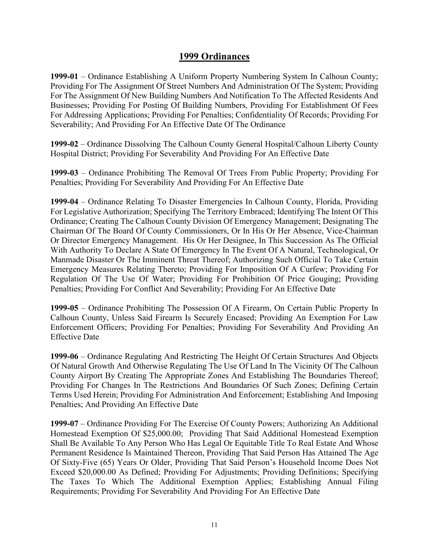**1999-01** – Ordinance Establishing A Uniform Property Numbering System In Calhoun County; Providing For The Assignment Of Street Numbers And Administration Of The System; Providing For The Assignment Of New Building Numbers And Notification To The Affected Residents And Businesses; Providing For Posting Of Building Numbers, Providing For Establishment Of Fees For Addressing Applications; Providing For Penalties; Confidentiality Of Records; Providing For Severability; And Providing For An Effective Date Of The Ordinance

**1999-02** – Ordinance Dissolving The Calhoun County General Hospital/Calhoun Liberty County Hospital District; Providing For Severability And Providing For An Effective Date

**1999-03** – Ordinance Prohibiting The Removal Of Trees From Public Property; Providing For Penalties; Providing For Severability And Providing For An Effective Date

**1999-04** – Ordinance Relating To Disaster Emergencies In Calhoun County, Florida, Providing For Legislative Authorization; Specifying The Territory Embraced; Identifying The Intent Of This Ordinance; Creating The Calhoun County Division Of Emergency Management; Designating The Chairman Of The Board Of County Commissioners, Or In His Or Her Absence, Vice-Chairman Or Director Emergency Management. His Or Her Designee, In This Succession As The Official With Authority To Declare A State Of Emergency In The Event Of A Natural, Technological, Or Manmade Disaster Or The Imminent Threat Thereof; Authorizing Such Official To Take Certain Emergency Measures Relating Thereto; Providing For Imposition Of A Curfew; Providing For Regulation Of The Use Of Water; Providing For Prohibition Of Price Gouging; Providing Penalties; Providing For Conflict And Severability; Providing For An Effective Date

**1999-05** – Ordinance Prohibiting The Possession Of A Firearm, On Certain Public Property In Calhoun County, Unless Said Firearm Is Securely Encased; Providing An Exemption For Law Enforcement Officers; Providing For Penalties; Providing For Severability And Providing An Effective Date

**1999-06** – Ordinance Regulating And Restricting The Height Of Certain Structures And Objects Of Natural Growth And Otherwise Regulating The Use Of Land In The Vicinity Of The Calhoun County Airport By Creating The Appropriate Zones And Establishing The Boundaries Thereof; Providing For Changes In The Restrictions And Boundaries Of Such Zones; Defining Certain Terms Used Herein; Providing For Administration And Enforcement; Establishing And Imposing Penalties; And Providing An Effective Date

**1999-07** – Ordinance Providing For The Exercise Of County Powers; Authorizing An Additional Homestead Exemption Of \$25,000.00; Providing That Said Additional Homestead Exemption Shall Be Available To Any Person Who Has Legal Or Equitable Title To Real Estate And Whose Permanent Residence Is Maintained Thereon, Providing That Said Person Has Attained The Age Of Sixty-Five (65) Years Or Older, Providing That Said Person's Household Income Does Not Exceed \$20,000.00 As Defined; Providing For Adjustments; Providing Definitions; Specifying The Taxes To Which The Additional Exemption Applies; Establishing Annual Filing Requirements; Providing For Severability And Providing For An Effective Date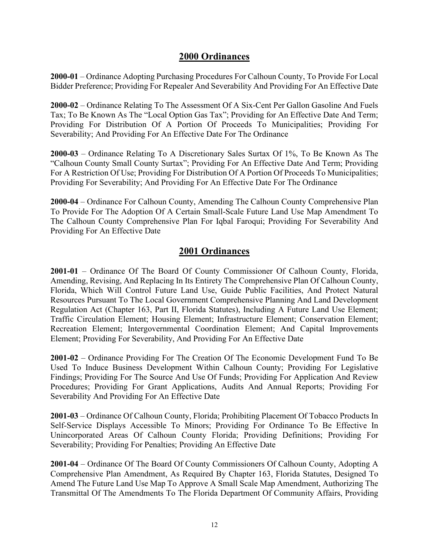**2000-01** – Ordinance Adopting Purchasing Procedures For Calhoun County, To Provide For Local Bidder Preference; Providing For Repealer And Severability And Providing For An Effective Date

**2000-02** – Ordinance Relating To The Assessment Of A Six-Cent Per Gallon Gasoline And Fuels Tax; To Be Known As The "Local Option Gas Tax"; Providing for An Effective Date And Term; Providing For Distribution Of A Portion Of Proceeds To Municipalities; Providing For Severability; And Providing For An Effective Date For The Ordinance

**2000-03** – Ordinance Relating To A Discretionary Sales Surtax Of 1%, To Be Known As The "Calhoun County Small County Surtax"; Providing For An Effective Date And Term; Providing For A Restriction Of Use; Providing For Distribution Of A Portion Of Proceeds To Municipalities; Providing For Severability; And Providing For An Effective Date For The Ordinance

**2000-04** – Ordinance For Calhoun County, Amending The Calhoun County Comprehensive Plan To Provide For The Adoption Of A Certain Small-Scale Future Land Use Map Amendment To The Calhoun County Comprehensive Plan For Iqbal Faroqui; Providing For Severability And Providing For An Effective Date

# **2001 Ordinances**

**2001-01** – Ordinance Of The Board Of County Commissioner Of Calhoun County, Florida, Amending, Revising, And Replacing In Its Entirety The Comprehensive Plan Of Calhoun County, Florida, Which Will Control Future Land Use, Guide Public Facilities, And Protect Natural Resources Pursuant To The Local Government Comprehensive Planning And Land Development Regulation Act (Chapter 163, Part II, Florida Statutes), Including A Future Land Use Element; Traffic Circulation Element; Housing Element; Infrastructure Element; Conservation Element; Recreation Element; Intergovernmental Coordination Element; And Capital Improvements Element; Providing For Severability, And Providing For An Effective Date

**2001-02** – Ordinance Providing For The Creation Of The Economic Development Fund To Be Used To Induce Business Development Within Calhoun County; Providing For Legislative Findings; Providing For The Source And Use Of Funds; Providing For Application And Review Procedures; Providing For Grant Applications, Audits And Annual Reports; Providing For Severability And Providing For An Effective Date

**2001-03** – Ordinance Of Calhoun County, Florida; Prohibiting Placement Of Tobacco Products In Self-Service Displays Accessible To Minors; Providing For Ordinance To Be Effective In Unincorporated Areas Of Calhoun County Florida; Providing Definitions; Providing For Severability; Providing For Penalties; Providing An Effective Date

**2001-04** – Ordinance Of The Board Of County Commissioners Of Calhoun County, Adopting A Comprehensive Plan Amendment, As Required By Chapter 163, Florida Statutes, Designed To Amend The Future Land Use Map To Approve A Small Scale Map Amendment, Authorizing The Transmittal Of The Amendments To The Florida Department Of Community Affairs, Providing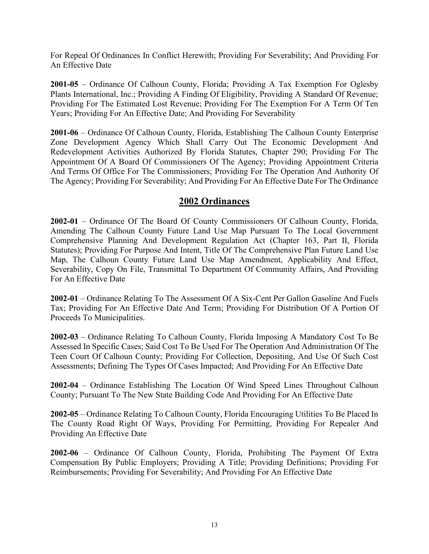For Repeal Of Ordinances In Conflict Herewith; Providing For Severability; And Providing For An Effective Date

**2001-05** – Ordinance Of Calhoun County, Florida; Providing A Tax Exemption For Oglesby Plants International, Inc.; Providing A Finding Of Eligibility, Providing A Standard Of Revenue; Providing For The Estimated Lost Revenue; Providing For The Exemption For A Term Of Ten Years; Providing For An Effective Date; And Providing For Severability

**2001-06** – Ordinance Of Calhoun County, Florida, Establishing The Calhoun County Enterprise Zone Development Agency Which Shall Carry Out The Economic Development And Redevelopment Activities Authorized By Florida Statutes, Chapter 290; Providing For The Appointment Of A Board Of Commissioners Of The Agency; Providing Appointment Criteria And Terms Of Office For The Commissioners; Providing For The Operation And Authority Of The Agency; Providing For Severability; And Providing For An Effective Date For The Ordinance

# **2002 Ordinances**

**2002-01** – Ordinance Of The Board Of County Commissioners Of Calhoun County, Florida, Amending The Calhoun County Future Land Use Map Pursuant To The Local Government Comprehensive Planning And Development Regulation Act (Chapter 163, Part II, Florida Statutes); Providing For Purpose And Intent, Title Of The Comprehensive Plan Future Land Use Map, The Calhoun County Future Land Use Map Amendment, Applicability And Effect, Severability, Copy On File, Transmittal To Department Of Community Affairs, And Providing For An Effective Date

**2002-01** – Ordinance Relating To The Assessment Of A Six-Cent Per Gallon Gasoline And Fuels Tax; Providing For An Effective Date And Term; Providing For Distribution Of A Portion Of Proceeds To Municipalities.

**2002-03** – Ordinance Relating To Calhoun County, Florida Imposing A Mandatory Cost To Be Assessed In Specific Cases; Said Cost To Be Used For The Operation And Administration Of The Teen Court Of Calhoun County; Providing For Collection, Depositing, And Use Of Such Cost Assessments; Defining The Types Of Cases Impacted; And Providing For An Effective Date

**2002-04** – Ordinance Establishing The Location Of Wind Speed Lines Throughout Calhoun County; Pursuant To The New State Building Code And Providing For An Effective Date

**2002-05** – Ordinance Relating To Calhoun County, Florida Encouraging Utilities To Be Placed In The County Road Right Of Ways, Providing For Permitting, Providing For Repealer And Providing An Effective Date

**2002-06** – Ordinance Of Calhoun County, Florida, Prohibiting The Payment Of Extra Compensation By Public Employers; Providing A Title; Providing Definitions; Providing For Reimbursements; Providing For Severability; And Providing For An Effective Date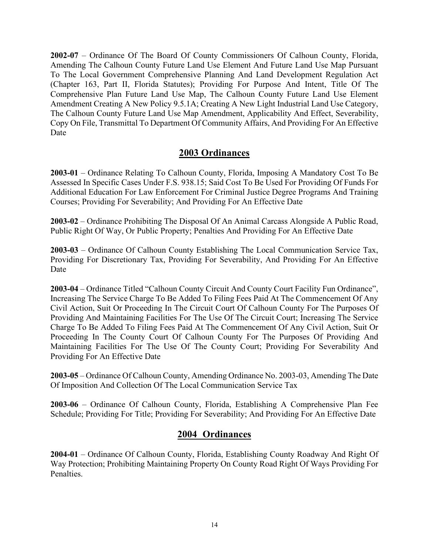**2002-07** – Ordinance Of The Board Of County Commissioners Of Calhoun County, Florida, Amending The Calhoun County Future Land Use Element And Future Land Use Map Pursuant To The Local Government Comprehensive Planning And Land Development Regulation Act (Chapter 163, Part II, Florida Statutes); Providing For Purpose And Intent, Title Of The Comprehensive Plan Future Land Use Map, The Calhoun County Future Land Use Element Amendment Creating A New Policy 9.5.1A; Creating A New Light Industrial Land Use Category, The Calhoun County Future Land Use Map Amendment, Applicability And Effect, Severability, Copy On File, Transmittal To Department Of Community Affairs, And Providing For An Effective Date

# **2003 Ordinances**

**2003-01** – Ordinance Relating To Calhoun County, Florida, Imposing A Mandatory Cost To Be Assessed In Specific Cases Under F.S. 938.15; Said Cost To Be Used For Providing Of Funds For Additional Education For Law Enforcement For Criminal Justice Degree Programs And Training Courses; Providing For Severability; And Providing For An Effective Date

**2003-02** – Ordinance Prohibiting The Disposal Of An Animal Carcass Alongside A Public Road, Public Right Of Way, Or Public Property; Penalties And Providing For An Effective Date

**2003-03** – Ordinance Of Calhoun County Establishing The Local Communication Service Tax, Providing For Discretionary Tax, Providing For Severability, And Providing For An Effective Date

**2003-04** – Ordinance Titled "Calhoun County Circuit And County Court Facility Fun Ordinance", Increasing The Service Charge To Be Added To Filing Fees Paid At The Commencement Of Any Civil Action, Suit Or Proceeding In The Circuit Court Of Calhoun County For The Purposes Of Providing And Maintaining Facilities For The Use Of The Circuit Court; Increasing The Service Charge To Be Added To Filing Fees Paid At The Commencement Of Any Civil Action, Suit Or Proceeding In The County Court Of Calhoun County For The Purposes Of Providing And Maintaining Facilities For The Use Of The County Court; Providing For Severability And Providing For An Effective Date

**2003-05** – Ordinance Of Calhoun County, Amending Ordinance No. 2003-03, Amending The Date Of Imposition And Collection Of The Local Communication Service Tax

**2003-06** – Ordinance Of Calhoun County, Florida, Establishing A Comprehensive Plan Fee Schedule; Providing For Title; Providing For Severability; And Providing For An Effective Date

# **2004 Ordinances**

**2004-01** – Ordinance Of Calhoun County, Florida, Establishing County Roadway And Right Of Way Protection; Prohibiting Maintaining Property On County Road Right Of Ways Providing For Penalties.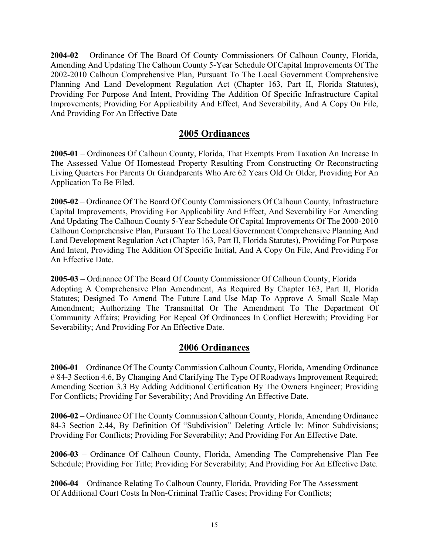**2004-02** – Ordinance Of The Board Of County Commissioners Of Calhoun County, Florida, Amending And Updating The Calhoun County 5-Year Schedule Of Capital Improvements Of The 2002-2010 Calhoun Comprehensive Plan, Pursuant To The Local Government Comprehensive Planning And Land Development Regulation Act (Chapter 163, Part II, Florida Statutes), Providing For Purpose And Intent, Providing The Addition Of Specific Infrastructure Capital Improvements; Providing For Applicability And Effect, And Severability, And A Copy On File, And Providing For An Effective Date

# **2005 Ordinances**

**2005-01** – Ordinances Of Calhoun County, Florida, That Exempts From Taxation An Increase In The Assessed Value Of Homestead Property Resulting From Constructing Or Reconstructing Living Quarters For Parents Or Grandparents Who Are 62 Years Old Or Older, Providing For An Application To Be Filed.

**2005-02** – Ordinance Of The Board Of County Commissioners Of Calhoun County, Infrastructure Capital Improvements, Providing For Applicability And Effect, And Severability For Amending And Updating The Calhoun County 5-Year Schedule Of Capital Improvements Of The 2000-2010 Calhoun Comprehensive Plan, Pursuant To The Local Government Comprehensive Planning And Land Development Regulation Act (Chapter 163, Part II, Florida Statutes), Providing For Purpose And Intent, Providing The Addition Of Specific Initial, And A Copy On File, And Providing For An Effective Date.

**2005-03** – Ordinance Of The Board Of County Commissioner Of Calhoun County, Florida Adopting A Comprehensive Plan Amendment, As Required By Chapter 163, Part II, Florida Statutes; Designed To Amend The Future Land Use Map To Approve A Small Scale Map Amendment; Authorizing The Transmittal Or The Amendment To The Department Of Community Affairs; Providing For Repeal Of Ordinances In Conflict Herewith; Providing For Severability; And Providing For An Effective Date.

#### **2006 Ordinances**

**2006-01** – Ordinance Of The County Commission Calhoun County, Florida, Amending Ordinance # 84-3 Section 4.6, By Changing And Clarifying The Type Of Roadways Improvement Required; Amending Section 3.3 By Adding Additional Certification By The Owners Engineer; Providing For Conflicts; Providing For Severability; And Providing An Effective Date.

**2006-02** – Ordinance Of The County Commission Calhoun County, Florida, Amending Ordinance 84-3 Section 2.44, By Definition Of "Subdivision" Deleting Article Iv: Minor Subdivisions; Providing For Conflicts; Providing For Severability; And Providing For An Effective Date.

**2006-03** – Ordinance Of Calhoun County, Florida, Amending The Comprehensive Plan Fee Schedule; Providing For Title; Providing For Severability; And Providing For An Effective Date.

**2006-04** – Ordinance Relating To Calhoun County, Florida, Providing For The Assessment Of Additional Court Costs In Non-Criminal Traffic Cases; Providing For Conflicts;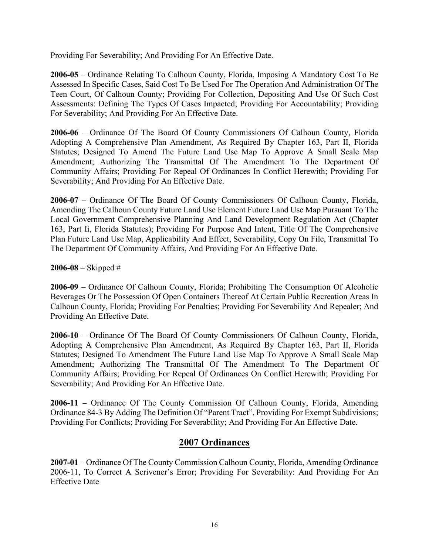Providing For Severability; And Providing For An Effective Date.

**2006-05** – Ordinance Relating To Calhoun County, Florida, Imposing A Mandatory Cost To Be Assessed In Specific Cases, Said Cost To Be Used For The Operation And Administration Of The Teen Court, Of Calhoun County; Providing For Collection, Depositing And Use Of Such Cost Assessments: Defining The Types Of Cases Impacted; Providing For Accountability; Providing For Severability; And Providing For An Effective Date.

**2006-06** – Ordinance Of The Board Of County Commissioners Of Calhoun County, Florida Adopting A Comprehensive Plan Amendment, As Required By Chapter 163, Part II, Florida Statutes; Designed To Amend The Future Land Use Map To Approve A Small Scale Map Amendment; Authorizing The Transmittal Of The Amendment To The Department Of Community Affairs; Providing For Repeal Of Ordinances In Conflict Herewith; Providing For Severability; And Providing For An Effective Date.

**2006-07** – Ordinance Of The Board Of County Commissioners Of Calhoun County, Florida, Amending The Calhoun County Future Land Use Element Future Land Use Map Pursuant To The Local Government Comprehensive Planning And Land Development Regulation Act (Chapter 163, Part Ii, Florida Statutes); Providing For Purpose And Intent, Title Of The Comprehensive Plan Future Land Use Map, Applicability And Effect, Severability, Copy On File, Transmittal To The Department Of Community Affairs, And Providing For An Effective Date.

**2006-08** – Skipped #

**2006-09** – Ordinance Of Calhoun County, Florida; Prohibiting The Consumption Of Alcoholic Beverages Or The Possession Of Open Containers Thereof At Certain Public Recreation Areas In Calhoun County, Florida; Providing For Penalties; Providing For Severability And Repealer; And Providing An Effective Date.

**2006-10** – Ordinance Of The Board Of County Commissioners Of Calhoun County, Florida, Adopting A Comprehensive Plan Amendment, As Required By Chapter 163, Part II, Florida Statutes; Designed To Amendment The Future Land Use Map To Approve A Small Scale Map Amendment; Authorizing The Transmittal Of The Amendment To The Department Of Community Affairs; Providing For Repeal Of Ordinances On Conflict Herewith; Providing For Severability; And Providing For An Effective Date.

**2006-11** – Ordinance Of The County Commission Of Calhoun County, Florida, Amending Ordinance 84-3 By Adding The Definition Of "Parent Tract", Providing For Exempt Subdivisions; Providing For Conflicts; Providing For Severability; And Providing For An Effective Date.

# **2007 Ordinances**

**2007-01** – Ordinance Of The County Commission Calhoun County, Florida, Amending Ordinance 2006-11, To Correct A Scrivener's Error; Providing For Severability: And Providing For An Effective Date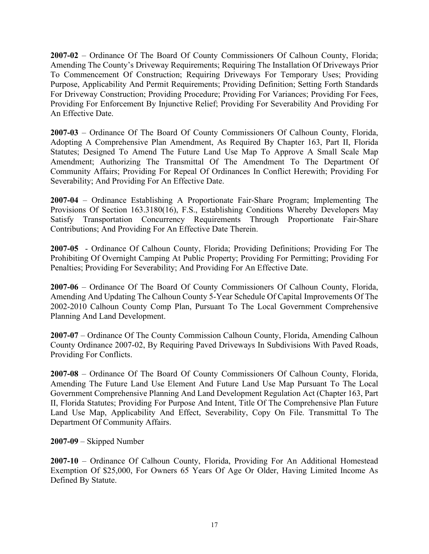**2007-02** – Ordinance Of The Board Of County Commissioners Of Calhoun County, Florida; Amending The County's Driveway Requirements; Requiring The Installation Of Driveways Prior To Commencement Of Construction; Requiring Driveways For Temporary Uses; Providing Purpose, Applicability And Permit Requirements; Providing Definition; Setting Forth Standards For Driveway Construction; Providing Procedure; Providing For Variances; Providing For Fees, Providing For Enforcement By Injunctive Relief; Providing For Severability And Providing For An Effective Date.

**2007-03** – Ordinance Of The Board Of County Commissioners Of Calhoun County, Florida, Adopting A Comprehensive Plan Amendment, As Required By Chapter 163, Part II, Florida Statutes; Designed To Amend The Future Land Use Map To Approve A Small Scale Map Amendment; Authorizing The Transmittal Of The Amendment To The Department Of Community Affairs; Providing For Repeal Of Ordinances In Conflict Herewith; Providing For Severability; And Providing For An Effective Date.

**2007-04** – Ordinance Establishing A Proportionate Fair-Share Program; Implementing The Provisions Of Section 163.3180(16), F.S., Establishing Conditions Whereby Developers May Satisfy Transportation Concurrency Requirements Through Proportionate Fair-Share Contributions; And Providing For An Effective Date Therein.

**2007-05** - Ordinance Of Calhoun County, Florida; Providing Definitions; Providing For The Prohibiting Of Overnight Camping At Public Property; Providing For Permitting; Providing For Penalties; Providing For Severability; And Providing For An Effective Date.

**2007-06** – Ordinance Of The Board Of County Commissioners Of Calhoun County, Florida, Amending And Updating The Calhoun County 5-Year Schedule Of Capital Improvements Of The 2002-2010 Calhoun County Comp Plan, Pursuant To The Local Government Comprehensive Planning And Land Development.

**2007-07** – Ordinance Of The County Commission Calhoun County, Florida, Amending Calhoun County Ordinance 2007-02, By Requiring Paved Driveways In Subdivisions With Paved Roads, Providing For Conflicts.

**2007-08** – Ordinance Of The Board Of County Commissioners Of Calhoun County, Florida, Amending The Future Land Use Element And Future Land Use Map Pursuant To The Local Government Comprehensive Planning And Land Development Regulation Act (Chapter 163, Part II, Florida Statutes; Providing For Purpose And Intent, Title Of The Comprehensive Plan Future Land Use Map, Applicability And Effect, Severability, Copy On File. Transmittal To The Department Of Community Affairs.

**2007-09** – Skipped Number

**2007-10** – Ordinance Of Calhoun County, Florida, Providing For An Additional Homestead Exemption Of \$25,000, For Owners 65 Years Of Age Or Older, Having Limited Income As Defined By Statute.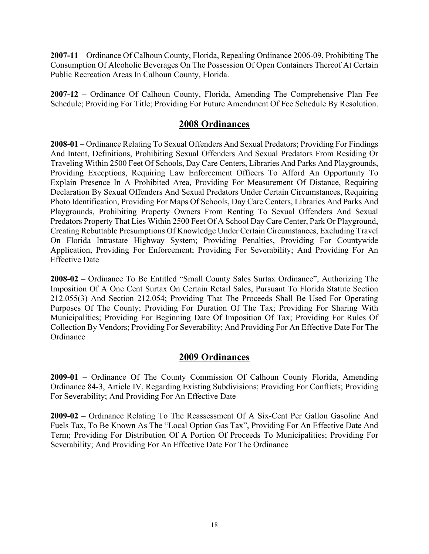**2007-11** – Ordinance Of Calhoun County, Florida, Repealing Ordinance 2006-09, Prohibiting The Consumption Of Alcoholic Beverages On The Possession Of Open Containers Thereof At Certain Public Recreation Areas In Calhoun County, Florida.

**2007-12** – Ordinance Of Calhoun County, Florida, Amending The Comprehensive Plan Fee Schedule; Providing For Title; Providing For Future Amendment Of Fee Schedule By Resolution.

# **2008 Ordinances**

**2008-01** – Ordinance Relating To Sexual Offenders And Sexual Predators; Providing For Findings And Intent, Definitions, Prohibiting Sexual Offenders And Sexual Predators From Residing Or Traveling Within 2500 Feet Of Schools, Day Care Centers, Libraries And Parks And Playgrounds, Providing Exceptions, Requiring Law Enforcement Officers To Afford An Opportunity To Explain Presence In A Prohibited Area, Providing For Measurement Of Distance, Requiring Declaration By Sexual Offenders And Sexual Predators Under Certain Circumstances, Requiring Photo Identification, Providing For Maps Of Schools, Day Care Centers, Libraries And Parks And Playgrounds, Prohibiting Property Owners From Renting To Sexual Offenders And Sexual Predators Property That Lies Within 2500 Feet Of A School Day Care Center, Park Or Playground, Creating Rebuttable Presumptions Of Knowledge Under Certain Circumstances, Excluding Travel On Florida Intrastate Highway System; Providing Penalties, Providing For Countywide Application, Providing For Enforcement; Providing For Severability; And Providing For An Effective Date

**2008-02** – Ordinance To Be Entitled "Small County Sales Surtax Ordinance", Authorizing The Imposition Of A One Cent Surtax On Certain Retail Sales, Pursuant To Florida Statute Section 212.055(3) And Section 212.054; Providing That The Proceeds Shall Be Used For Operating Purposes Of The County; Providing For Duration Of The Tax; Providing For Sharing With Municipalities; Providing For Beginning Date Of Imposition Of Tax; Providing For Rules Of Collection By Vendors; Providing For Severability; And Providing For An Effective Date For The **Ordinance** 

# **2009 Ordinances**

**2009-01** – Ordinance Of The County Commission Of Calhoun County Florida, Amending Ordinance 84-3, Article IV, Regarding Existing Subdivisions; Providing For Conflicts; Providing For Severability; And Providing For An Effective Date

**2009-02** – Ordinance Relating To The Reassessment Of A Six-Cent Per Gallon Gasoline And Fuels Tax, To Be Known As The "Local Option Gas Tax", Providing For An Effective Date And Term; Providing For Distribution Of A Portion Of Proceeds To Municipalities; Providing For Severability; And Providing For An Effective Date For The Ordinance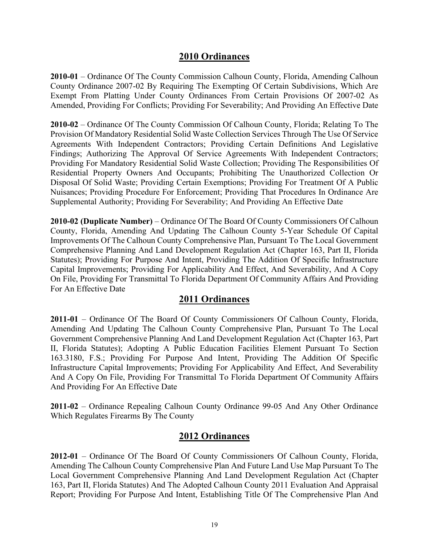**2010-01** – Ordinance Of The County Commission Calhoun County, Florida, Amending Calhoun County Ordinance 2007-02 By Requiring The Exempting Of Certain Subdivisions, Which Are Exempt From Platting Under County Ordinances From Certain Provisions Of 2007-02 As Amended, Providing For Conflicts; Providing For Severability; And Providing An Effective Date

**2010-02** – Ordinance Of The County Commission Of Calhoun County, Florida; Relating To The Provision Of Mandatory Residential Solid Waste Collection Services Through The Use Of Service Agreements With Independent Contractors; Providing Certain Definitions And Legislative Findings; Authorizing The Approval Of Service Agreements With Independent Contractors; Providing For Mandatory Residential Solid Waste Collection; Providing The Responsibilities Of Residential Property Owners And Occupants; Prohibiting The Unauthorized Collection Or Disposal Of Solid Waste; Providing Certain Exemptions; Providing For Treatment Of A Public Nuisances; Providing Procedure For Enforcement; Providing That Procedures In Ordinance Are Supplemental Authority; Providing For Severability; And Providing An Effective Date

**2010-02 (Duplicate Number)** – Ordinance Of The Board Of County Commissioners Of Calhoun County, Florida, Amending And Updating The Calhoun County 5-Year Schedule Of Capital Improvements Of The Calhoun County Comprehensive Plan, Pursuant To The Local Government Comprehensive Planning And Land Development Regulation Act (Chapter 163, Part II, Florida Statutes); Providing For Purpose And Intent, Providing The Addition Of Specific Infrastructure Capital Improvements; Providing For Applicability And Effect, And Severability, And A Copy On File, Providing For Transmittal To Florida Department Of Community Affairs And Providing For An Effective Date

# **2011 Ordinances**

**2011-01** – Ordinance Of The Board Of County Commissioners Of Calhoun County, Florida, Amending And Updating The Calhoun County Comprehensive Plan, Pursuant To The Local Government Comprehensive Planning And Land Development Regulation Act (Chapter 163, Part II, Florida Statutes); Adopting A Public Education Facilities Element Pursuant To Section 163.3180, F.S.; Providing For Purpose And Intent, Providing The Addition Of Specific Infrastructure Capital Improvements; Providing For Applicability And Effect, And Severability And A Copy On File, Providing For Transmittal To Florida Department Of Community Affairs And Providing For An Effective Date

**2011-02** – Ordinance Repealing Calhoun County Ordinance 99-05 And Any Other Ordinance Which Regulates Firearms By The County

# **2012 Ordinances**

**2012-01** – Ordinance Of The Board Of County Commissioners Of Calhoun County, Florida, Amending The Calhoun County Comprehensive Plan And Future Land Use Map Pursuant To The Local Government Comprehensive Planning And Land Development Regulation Act (Chapter 163, Part II, Florida Statutes) And The Adopted Calhoun County 2011 Evaluation And Appraisal Report; Providing For Purpose And Intent, Establishing Title Of The Comprehensive Plan And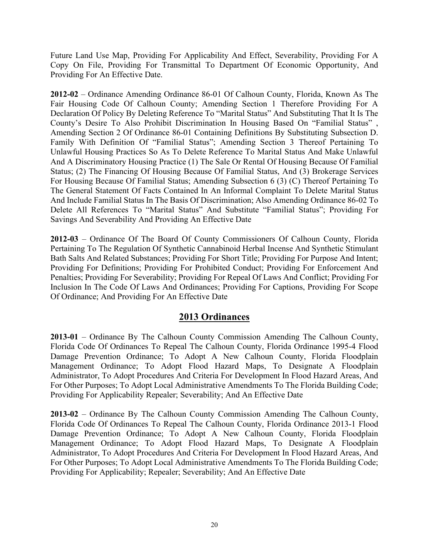Future Land Use Map, Providing For Applicability And Effect, Severability, Providing For A Copy On File, Providing For Transmittal To Department Of Economic Opportunity, And Providing For An Effective Date.

**2012-02** – Ordinance Amending Ordinance 86-01 Of Calhoun County, Florida, Known As The Fair Housing Code Of Calhoun County; Amending Section 1 Therefore Providing For A Declaration Of Policy By Deleting Reference To "Marital Status" And Substituting That It Is The County's Desire To Also Prohibit Discrimination In Housing Based On "Familial Status" , Amending Section 2 Of Ordinance 86-01 Containing Definitions By Substituting Subsection D. Family With Definition Of "Familial Status"; Amending Section 3 Thereof Pertaining To Unlawful Housing Practices So As To Delete Reference To Marital Status And Make Unlawful And A Discriminatory Housing Practice (1) The Sale Or Rental Of Housing Because Of Familial Status; (2) The Financing Of Housing Because Of Familial Status, And (3) Brokerage Services For Housing Because Of Familial Status; Amending Subsection 6 (3) (C) Thereof Pertaining To The General Statement Of Facts Contained In An Informal Complaint To Delete Marital Status And Include Familial Status In The Basis Of Discrimination; Also Amending Ordinance 86-02 To Delete All References To "Marital Status" And Substitute "Familial Status"; Providing For Savings And Severability And Providing An Effective Date

**2012-03** – Ordinance Of The Board Of County Commissioners Of Calhoun County, Florida Pertaining To The Regulation Of Synthetic Cannabinoid Herbal Incense And Synthetic Stimulant Bath Salts And Related Substances; Providing For Short Title; Providing For Purpose And Intent; Providing For Definitions; Providing For Prohibited Conduct; Providing For Enforcement And Penalties; Providing For Severability; Providing For Repeal Of Laws And Conflict; Providing For Inclusion In The Code Of Laws And Ordinances; Providing For Captions, Providing For Scope Of Ordinance; And Providing For An Effective Date

# **2013 Ordinances**

**2013-01** – Ordinance By The Calhoun County Commission Amending The Calhoun County, Florida Code Of Ordinances To Repeal The Calhoun County, Florida Ordinance 1995-4 Flood Damage Prevention Ordinance; To Adopt A New Calhoun County, Florida Floodplain Management Ordinance; To Adopt Flood Hazard Maps, To Designate A Floodplain Administrator, To Adopt Procedures And Criteria For Development In Flood Hazard Areas, And For Other Purposes; To Adopt Local Administrative Amendments To The Florida Building Code; Providing For Applicability Repealer; Severability; And An Effective Date

**2013-02** – Ordinance By The Calhoun County Commission Amending The Calhoun County, Florida Code Of Ordinances To Repeal The Calhoun County, Florida Ordinance 2013-1 Flood Damage Prevention Ordinance; To Adopt A New Calhoun County, Florida Floodplain Management Ordinance; To Adopt Flood Hazard Maps, To Designate A Floodplain Administrator, To Adopt Procedures And Criteria For Development In Flood Hazard Areas, And For Other Purposes; To Adopt Local Administrative Amendments To The Florida Building Code; Providing For Applicability; Repealer; Severability; And An Effective Date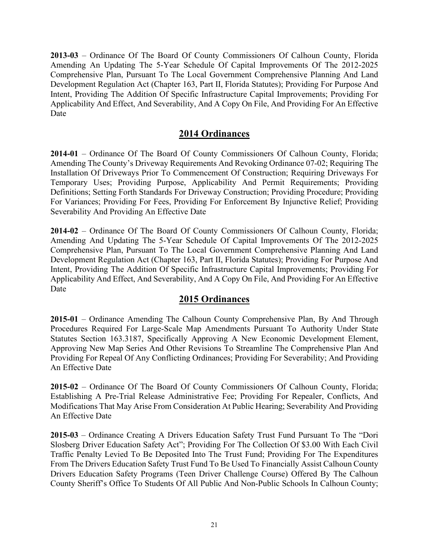**2013-03** – Ordinance Of The Board Of County Commissioners Of Calhoun County, Florida Amending An Updating The 5-Year Schedule Of Capital Improvements Of The 2012-2025 Comprehensive Plan, Pursuant To The Local Government Comprehensive Planning And Land Development Regulation Act (Chapter 163, Part II, Florida Statutes); Providing For Purpose And Intent, Providing The Addition Of Specific Infrastructure Capital Improvements; Providing For Applicability And Effect, And Severability, And A Copy On File, And Providing For An Effective Date

# **2014 Ordinances**

**2014-01** – Ordinance Of The Board Of County Commissioners Of Calhoun County, Florida; Amending The County's Driveway Requirements And Revoking Ordinance 07-02; Requiring The Installation Of Driveways Prior To Commencement Of Construction; Requiring Driveways For Temporary Uses; Providing Purpose, Applicability And Permit Requirements; Providing Definitions; Setting Forth Standards For Driveway Construction; Providing Procedure; Providing For Variances; Providing For Fees, Providing For Enforcement By Injunctive Relief; Providing Severability And Providing An Effective Date

**2014-02** – Ordinance Of The Board Of County Commissioners Of Calhoun County, Florida; Amending And Updating The 5-Year Schedule Of Capital Improvements Of The 2012-2025 Comprehensive Plan, Pursuant To The Local Government Comprehensive Planning And Land Development Regulation Act (Chapter 163, Part II, Florida Statutes); Providing For Purpose And Intent, Providing The Addition Of Specific Infrastructure Capital Improvements; Providing For Applicability And Effect, And Severability, And A Copy On File, And Providing For An Effective Date

# **2015 Ordinances**

**2015-01** – Ordinance Amending The Calhoun County Comprehensive Plan, By And Through Procedures Required For Large-Scale Map Amendments Pursuant To Authority Under State Statutes Section 163.3187, Specifically Approving A New Economic Development Element, Approving New Map Series And Other Revisions To Streamline The Comprehensive Plan And Providing For Repeal Of Any Conflicting Ordinances; Providing For Severability; And Providing An Effective Date

**2015-02** – Ordinance Of The Board Of County Commissioners Of Calhoun County, Florida; Establishing A Pre-Trial Release Administrative Fee; Providing For Repealer, Conflicts, And Modifications That May Arise From Consideration At Public Hearing; Severability And Providing An Effective Date

**2015-03** – Ordinance Creating A Drivers Education Safety Trust Fund Pursuant To The "Dori Slosberg Driver Education Safety Act"; Providing For The Collection Of \$3.00 With Each Civil Traffic Penalty Levied To Be Deposited Into The Trust Fund; Providing For The Expenditures From The Drivers Education Safety Trust Fund To Be Used To Financially Assist Calhoun County Drivers Education Safety Programs (Teen Driver Challenge Course) Offered By The Calhoun County Sheriff's Office To Students Of All Public And Non-Public Schools In Calhoun County;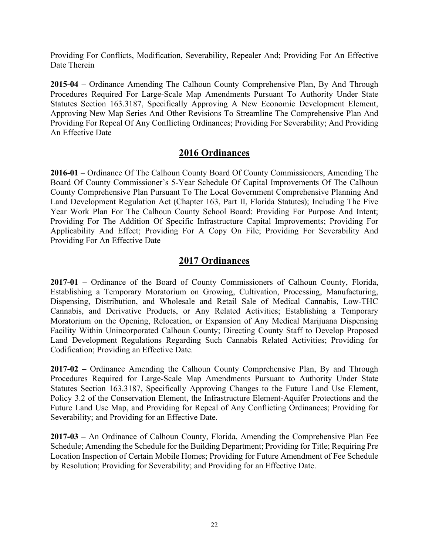Providing For Conflicts, Modification, Severability, Repealer And; Providing For An Effective Date Therein

**2015-04** – Ordinance Amending The Calhoun County Comprehensive Plan, By And Through Procedures Required For Large-Scale Map Amendments Pursuant To Authority Under State Statutes Section 163.3187, Specifically Approving A New Economic Development Element, Approving New Map Series And Other Revisions To Streamline The Comprehensive Plan And Providing For Repeal Of Any Conflicting Ordinances; Providing For Severability; And Providing An Effective Date

# **2016 Ordinances**

**2016-01** – Ordinance Of The Calhoun County Board Of County Commissioners, Amending The Board Of County Commissioner's 5-Year Schedule Of Capital Improvements Of The Calhoun County Comprehensive Plan Pursuant To The Local Government Comprehensive Planning And Land Development Regulation Act (Chapter 163, Part II, Florida Statutes); Including The Five Year Work Plan For The Calhoun County School Board: Providing For Purpose And Intent; Providing For The Addition Of Specific Infrastructure Capital Improvements; Providing For Applicability And Effect; Providing For A Copy On File; Providing For Severability And Providing For An Effective Date

# **2017 Ordinances**

**2017-01 –** Ordinance of the Board of County Commissioners of Calhoun County, Florida, Establishing a Temporary Moratorium on Growing, Cultivation, Processing, Manufacturing, Dispensing, Distribution, and Wholesale and Retail Sale of Medical Cannabis, Low-THC Cannabis, and Derivative Products, or Any Related Activities; Establishing a Temporary Moratorium on the Opening, Relocation, or Expansion of Any Medical Marijuana Dispensing Facility Within Unincorporated Calhoun County; Directing County Staff to Develop Proposed Land Development Regulations Regarding Such Cannabis Related Activities; Providing for Codification; Providing an Effective Date.

**2017-02 –** Ordinance Amending the Calhoun County Comprehensive Plan, By and Through Procedures Required for Large-Scale Map Amendments Pursuant to Authority Under State Statutes Section 163.3187, Specifically Approving Changes to the Future Land Use Element, Policy 3.2 of the Conservation Element, the Infrastructure Element-Aquifer Protections and the Future Land Use Map, and Providing for Repeal of Any Conflicting Ordinances; Providing for Severability; and Providing for an Effective Date.

**2017-03 –** An Ordinance of Calhoun County, Florida, Amending the Comprehensive Plan Fee Schedule; Amending the Schedule for the Building Department; Providing for Title; Requiring Pre Location Inspection of Certain Mobile Homes; Providing for Future Amendment of Fee Schedule by Resolution; Providing for Severability; and Providing for an Effective Date.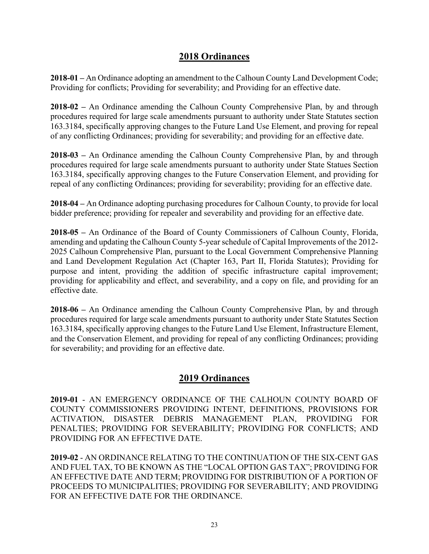**2018-01 –** An Ordinance adopting an amendment to the Calhoun County Land Development Code; Providing for conflicts; Providing for severability; and Providing for an effective date.

**2018-02 –** An Ordinance amending the Calhoun County Comprehensive Plan, by and through procedures required for large scale amendments pursuant to authority under State Statutes section 163.3184, specifically approving changes to the Future Land Use Element, and proving for repeal of any conflicting Ordinances; providing for severability; and providing for an effective date.

**2018-03 –** An Ordinance amending the Calhoun County Comprehensive Plan, by and through procedures required for large scale amendments pursuant to authority under State Statues Section 163.3184, specifically approving changes to the Future Conservation Element, and providing for repeal of any conflicting Ordinances; providing for severability; providing for an effective date.

**2018-04 –** An Ordinance adopting purchasing procedures for Calhoun County, to provide for local bidder preference; providing for repealer and severability and providing for an effective date.

**2018-05 –** An Ordinance of the Board of County Commissioners of Calhoun County, Florida, amending and updating the Calhoun County 5-year schedule of Capital Improvements of the 2012- 2025 Calhoun Comprehensive Plan, pursuant to the Local Government Comprehensive Planning and Land Development Regulation Act (Chapter 163, Part II, Florida Statutes); Providing for purpose and intent, providing the addition of specific infrastructure capital improvement; providing for applicability and effect, and severability, and a copy on file, and providing for an effective date.

**2018-06 –** An Ordinance amending the Calhoun County Comprehensive Plan, by and through procedures required for large scale amendments pursuant to authority under State Statutes Section 163.3184, specifically approving changes to the Future Land Use Element, Infrastructure Element, and the Conservation Element, and providing for repeal of any conflicting Ordinances; providing for severability; and providing for an effective date.

# **2019 Ordinances**

**2019-01** - AN EMERGENCY ORDINANCE OF THE CALHOUN COUNTY BOARD OF COUNTY COMMISSIONERS PROVIDING INTENT, DEFINITIONS, PROVISIONS FOR ACTIVATION, DISASTER DEBRIS MANAGEMENT PLAN, PROVIDING FOR PENALTIES; PROVIDING FOR SEVERABILITY; PROVIDING FOR CONFLICTS; AND PROVIDING FOR AN EFFECTIVE DATE.

**2019-02** - AN ORDINANCE RELATING TO THE CONTINUATION OF THE SIX-CENT GAS AND FUEL TAX, TO BE KNOWN AS THE "LOCAL OPTION GAS TAX"; PROVIDING FOR AN EFFECTIVE DATE AND TERM; PROVIDING FOR DISTRIBUTION OF A PORTION OF PROCEEDS TO MUNICIPALITIES; PROVIDING FOR SEVERABILITY; AND PROVIDING FOR AN EFFECTIVE DATE FOR THE ORDINANCE.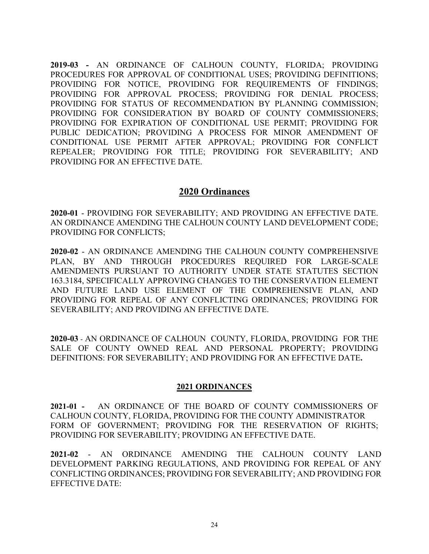**2019-03 -** AN ORDINANCE OF CALHOUN COUNTY, FLORIDA; PROVIDING PROCEDURES FOR APPROVAL OF CONDITIONAL USES; PROVIDING DEFINITIONS; PROVIDING FOR NOTICE, PROVIDING FOR REQUIREMENTS OF FINDINGS; PROVIDING FOR APPROVAL PROCESS; PROVIDING FOR DENIAL PROCESS; PROVIDING FOR STATUS OF RECOMMENDATION BY PLANNING COMMISSION; PROVIDING FOR CONSIDERATION BY BOARD OF COUNTY COMMISSIONERS; PROVIDING FOR EXPIRATION OF CONDITIONAL USE PERMIT; PROVIDING FOR PUBLIC DEDICATION; PROVIDING A PROCESS FOR MINOR AMENDMENT OF CONDITIONAL USE PERMIT AFTER APPROVAL; PROVIDING FOR CONFLICT REPEALER; PROVIDING FOR TITLE; PROVIDING FOR SEVERABILITY; AND PROVIDING FOR AN EFFECTIVE DATE.

## **2020 Ordinances**

**2020-01** - PROVIDING FOR SEVERABILITY; AND PROVIDING AN EFFECTIVE DATE. AN ORDINANCE AMENDING THE CALHOUN COUNTY LAND DEVELOPMENT CODE; PROVIDING FOR CONFLICTS;

**2020-02** - AN ORDINANCE AMENDING THE CALHOUN COUNTY COMPREHENSIVE PLAN, BY AND THROUGH PROCEDURES REQUIRED FOR LARGE-SCALE AMENDMENTS PURSUANT TO AUTHORITY UNDER STATE STATUTES SECTION 163.3184, SPECIFICALLY APPROVING CHANGES TO THE CONSERVATION ELEMENT AND FUTURE LAND USE ELEMENT OF THE COMPREHENSIVE PLAN, AND PROVIDING FOR REPEAL OF ANY CONFLICTING ORDINANCES; PROVIDING FOR SEVERABILITY; AND PROVIDING AN EFFECTIVE DATE.

**2020-03** - AN ORDINANCE OF CALHOUN COUNTY, FLORIDA, PROVIDING FOR THE SALE OF COUNTY OWNED REAL AND PERSONAL PROPERTY; PROVIDING DEFINITIONS: FOR SEVERABILITY; AND PROVIDING FOR AN EFFECTIVE DATE**.**

#### **2021 ORDINANCES**

**2021-01 -** AN ORDINANCE OF THE BOARD OF COUNTY COMMISSIONERS OF CALHOUN COUNTY, FLORIDA, PROVIDING FOR THE COUNTY ADMINISTRATOR FORM OF GOVERNMENT; PROVIDING FOR THE RESERVATION OF RIGHTS; PROVIDING FOR SEVERABILITY; PROVIDING AN EFFECTIVE DATE.

**2021-02** - AN ORDINANCE AMENDING THE CALHOUN COUNTY LAND DEVELOPMENT PARKING REGULATIONS, AND PROVIDING FOR REPEAL OF ANY CONFLICTING ORDINANCES; PROVIDING FOR SEVERABILITY; AND PROVIDING FOR EFFECTIVE DATE: